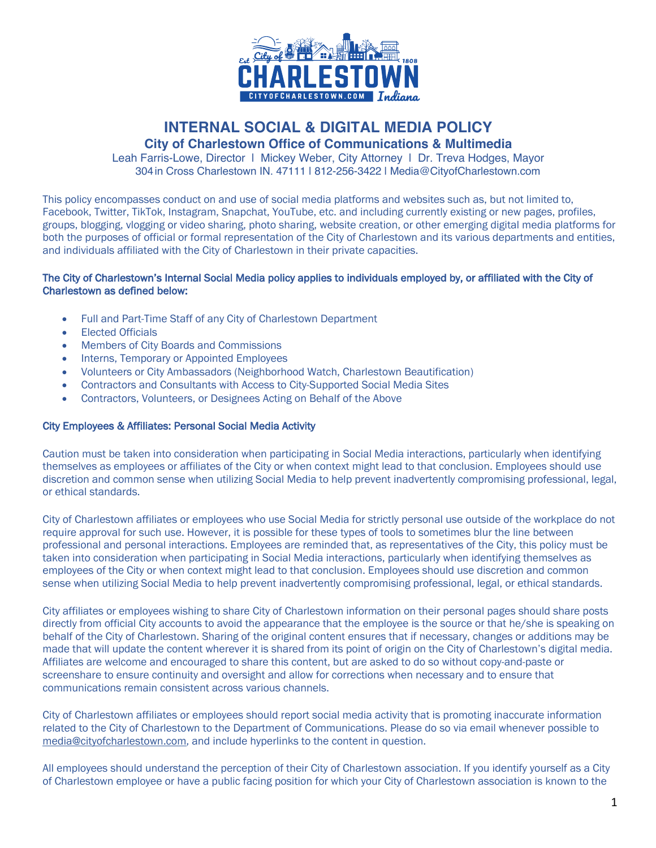

# **INTERNAL SOCIAL & DIGITAL MEDIA POLICY**

# **City of Charlestown Office of Communications & Multimedia**

Leah Farris-Lowe, Director | Mickey Weber, City Attorney | Dr. Treva Hodges, Mayor 304in Cross Charlestown IN. 47111 | 812-256-3422 | Media@CityofCharlestown.com

This policy encompasses conduct on and use of social media platforms and websites such as, but not limited to, Facebook, Twitter, TikTok, Instagram, Snapchat, YouTube, etc. and including currently existing or new pages, profiles, groups, blogging, vlogging or video sharing, photo sharing, website creation, or other emerging digital media platforms for both the purposes of official or formal representation of the City of Charlestown and its various departments and entities, and individuals affiliated with the City of Charlestown in their private capacities.

## The City of Charlestown's Internal Social Media policy applies to individuals employed by, or affiliated with the City of Charlestown as defined below:

- Full and Part-Time Staff of any City of Charlestown Department
- Elected Officials
- Members of City Boards and Commissions
- Interns, Temporary or Appointed Employees
- Volunteers or City Ambassadors (Neighborhood Watch, Charlestown Beautification)
- Contractors and Consultants with Access to City-Supported Social Media Sites
- Contractors, Volunteers, or Designees Acting on Behalf of the Above

### City Employees & Affiliates: Personal Social Media Activity

Caution must be taken into consideration when participating in Social Media interactions, particularly when identifying themselves as employees or affiliates of the City or when context might lead to that conclusion. Employees should use discretion and common sense when utilizing Social Media to help prevent inadvertently compromising professional, legal, or ethical standards.

City of Charlestown affiliates or employees who use Social Media for strictly personal use outside of the workplace do not require approval for such use. However, it is possible for these types of tools to sometimes blur the line between professional and personal interactions. Employees are reminded that, as representatives of the City, this policy must be taken into consideration when participating in Social Media interactions, particularly when identifying themselves as employees of the City or when context might lead to that conclusion. Employees should use discretion and common sense when utilizing Social Media to help prevent inadvertently compromising professional, legal, or ethical standards.

City affiliates or employees wishing to share City of Charlestown information on their personal pages should share posts directly from official City accounts to avoid the appearance that the employee is the source or that he/she is speaking on behalf of the City of Charlestown. Sharing of the original content ensures that if necessary, changes or additions may be made that will update the content wherever it is shared from its point of origin on the City of Charlestown's digital media. Affiliates are welcome and encouraged to share this content, but are asked to do so without copy-and-paste or screenshare to ensure continuity and oversight and allow for corrections when necessary and to ensure that communications remain consistent across various channels.

City of Charlestown affiliates or employees should report social media activity that is promoting inaccurate information related to the City of Charlestown to the Department of Communications. Please do so via email whenever possible to media@cityofcharlestown.com, and include hyperlinks to the content in question.

All employees should understand the perception of their City of Charlestown association. If you identify yourself as a City of Charlestown employee or have a public facing position for which your City of Charlestown association is known to the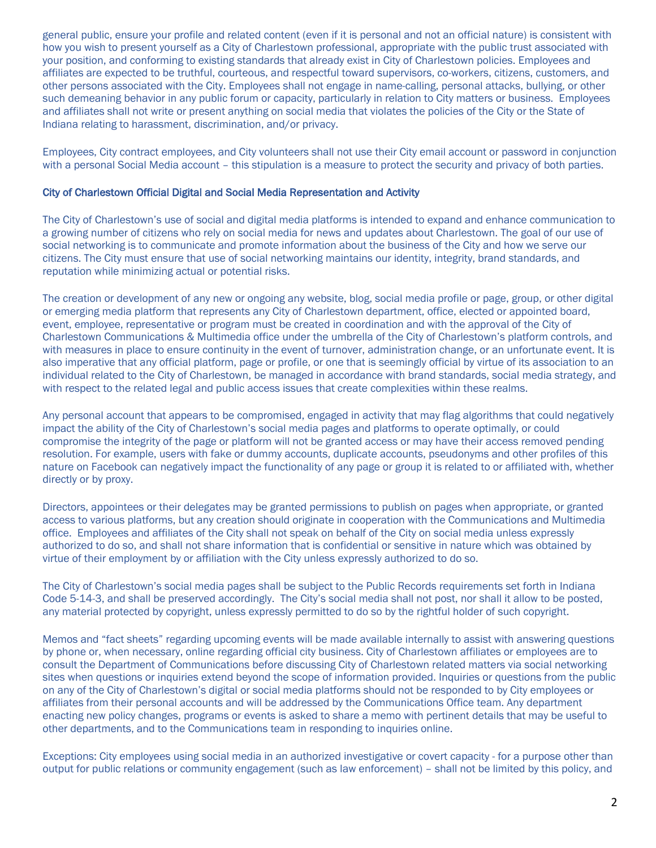general public, ensure your profile and related content (even if it is personal and not an official nature) is consistent with how you wish to present yourself as a City of Charlestown professional, appropriate with the public trust associated with your position, and conforming to existing standards that already exist in City of Charlestown policies. Employees and affiliates are expected to be truthful, courteous, and respectful toward supervisors, co-workers, citizens, customers, and other persons associated with the City. Employees shall not engage in name-calling, personal attacks, bullying, or other such demeaning behavior in any public forum or capacity, particularly in relation to City matters or business. Employees and affiliates shall not write or present anything on social media that violates the policies of the City or the State of Indiana relating to harassment, discrimination, and/or privacy.

Employees, City contract employees, and City volunteers shall not use their City email account or password in conjunction with a personal Social Media account – this stipulation is a measure to protect the security and privacy of both parties.

### City of Charlestown Official Digital and Social Media Representation and Activity

The City of Charlestown's use of social and digital media platforms is intended to expand and enhance communication to a growing number of citizens who rely on social media for news and updates about Charlestown. The goal of our use of social networking is to communicate and promote information about the business of the City and how we serve our citizens. The City must ensure that use of social networking maintains our identity, integrity, brand standards, and reputation while minimizing actual or potential risks.

The creation or development of any new or ongoing any website, blog, social media profile or page, group, or other digital or emerging media platform that represents any City of Charlestown department, office, elected or appointed board, event, employee, representative or program must be created in coordination and with the approval of the City of Charlestown Communications & Multimedia office under the umbrella of the City of Charlestown's platform controls, and with measures in place to ensure continuity in the event of turnover, administration change, or an unfortunate event. It is also imperative that any official platform, page or profile, or one that is seemingly official by virtue of its association to an individual related to the City of Charlestown, be managed in accordance with brand standards, social media strategy, and with respect to the related legal and public access issues that create complexities within these realms.

Any personal account that appears to be compromised, engaged in activity that may flag algorithms that could negatively impact the ability of the City of Charlestown's social media pages and platforms to operate optimally, or could compromise the integrity of the page or platform will not be granted access or may have their access removed pending resolution. For example, users with fake or dummy accounts, duplicate accounts, pseudonyms and other profiles of this nature on Facebook can negatively impact the functionality of any page or group it is related to or affiliated with, whether directly or by proxy.

Directors, appointees or their delegates may be granted permissions to publish on pages when appropriate, or granted access to various platforms, but any creation should originate in cooperation with the Communications and Multimedia office. Employees and affiliates of the City shall not speak on behalf of the City on social media unless expressly authorized to do so, and shall not share information that is confidential or sensitive in nature which was obtained by virtue of their employment by or affiliation with the City unless expressly authorized to do so.

The City of Charlestown's social media pages shall be subject to the Public Records requirements set forth in Indiana Code 5-14-3, and shall be preserved accordingly. The City's social media shall not post, nor shall it allow to be posted, any material protected by copyright, unless expressly permitted to do so by the rightful holder of such copyright.

Memos and "fact sheets" regarding upcoming events will be made available internally to assist with answering questions by phone or, when necessary, online regarding official city business. City of Charlestown affiliates or employees are to consult the Department of Communications before discussing City of Charlestown related matters via social networking sites when questions or inquiries extend beyond the scope of information provided. Inquiries or questions from the public on any of the City of Charlestown's digital or social media platforms should not be responded to by City employees or affiliates from their personal accounts and will be addressed by the Communications Office team. Any department enacting new policy changes, programs or events is asked to share a memo with pertinent details that may be useful to other departments, and to the Communications team in responding to inquiries online.

Exceptions: City employees using social media in an authorized investigative or covert capacity - for a purpose other than output for public relations or community engagement (such as law enforcement) – shall not be limited by this policy, and